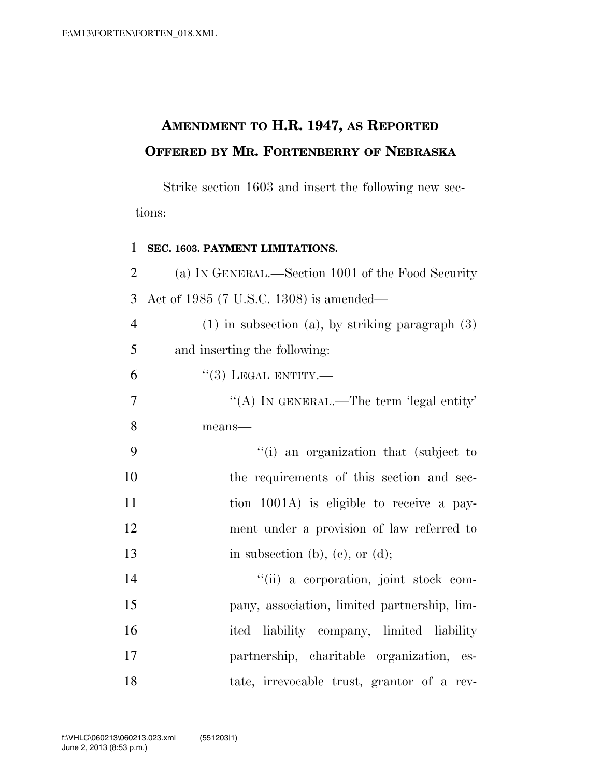## **AMENDMENT TO H.R. 1947, AS REPORTED OFFERED BY MR. FORTENBERRY OF NEBRASKA**

Strike section 1603 and insert the following new sections:

 **SEC. 1603. PAYMENT LIMITATIONS.**  (a) IN GENERAL.—Section 1001 of the Food Security Act of 1985 (7 U.S.C. 1308) is amended— (1) in subsection (a), by striking paragraph (3) and inserting the following:  $6 \qquad \qquad$  "(3) LEGAL ENTITY.— ''(A) IN GENERAL.—The term 'legal entity' 8 means— ''(i) an organization that (subject to the requirements of this section and sec-11 tion 1001A) is eligible to receive a pay- ment under a provision of law referred to 13 in subsection (b), (c), or (d); ''(ii) a corporation, joint stock com- pany, association, limited partnership, lim- ited liability company, limited liability partnership, charitable organization, es-

18 tate, irrevocable trust, grantor of a rev-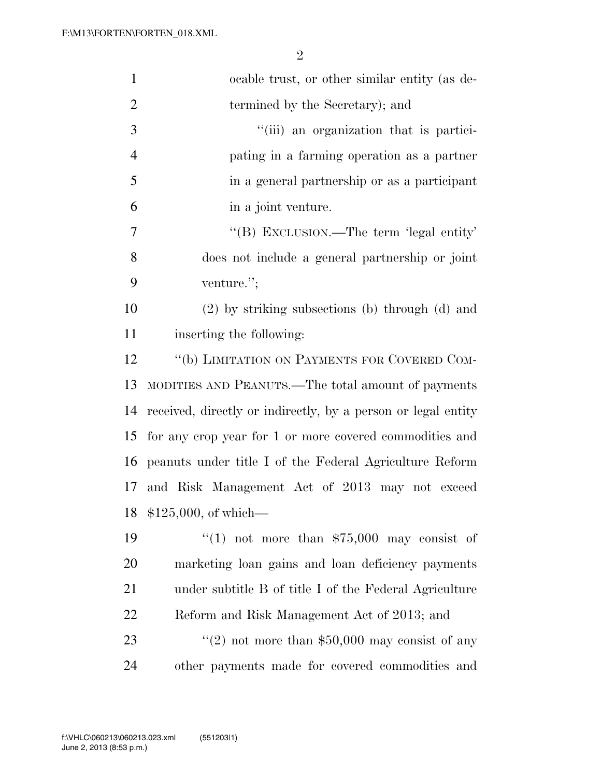| $\mathbf{1}$   | ocable trust, or other similar entity (as de-                 |
|----------------|---------------------------------------------------------------|
| $\overline{2}$ | termined by the Secretary); and                               |
| 3              | "(iii) an organization that is partici-                       |
| $\overline{4}$ | pating in a farming operation as a partner                    |
| 5              | in a general partnership or as a participant                  |
| 6              | in a joint venture.                                           |
| 7              | "(B) EXCLUSION.—The term 'legal entity'                       |
| 8              | does not include a general partnership or joint               |
| 9              | venture.";                                                    |
| 10             | (2) by striking subsections (b) through (d) and               |
| 11             | inserting the following:                                      |
| 12             | "(b) LIMITATION ON PAYMENTS FOR COVERED COM-                  |
| 13             | MODITIES AND PEANUTS.—The total amount of payments            |
| 14             | received, directly or indirectly, by a person or legal entity |
| 15             | for any crop year for 1 or more covered commodities and       |
| 16             | peanuts under title I of the Federal Agriculture Reform       |
| 17             | and Risk Management Act of 2013 may not exceed                |
|                | 18 \$125,000, of which-                                       |
| 19             | "(1) not more than $$75,000$ may consist of                   |
| 20             | marketing loan gains and loan deficiency payments             |
| 21             | under subtitle B of title I of the Federal Agriculture        |
| 22             | Reform and Risk Management Act of 2013; and                   |
| 23             | "(2) not more than $$50,000$ may consist of any               |
| 24             | other payments made for covered commodities and               |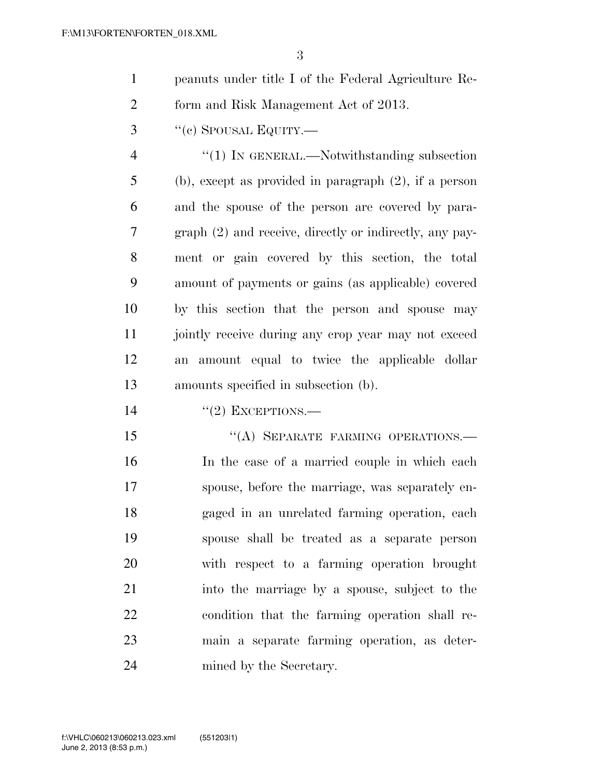- peanuts under title I of the Federal Agriculture Re-form and Risk Management Act of 2013.
- ''(c) SPOUSAL EQUITY.—

4 "(1) IN GENERAL.—Notwithstanding subsection (b), except as provided in paragraph (2), if a person and the spouse of the person are covered by para- graph (2) and receive, directly or indirectly, any pay- ment or gain covered by this section, the total amount of payments or gains (as applicable) covered by this section that the person and spouse may jointly receive during any crop year may not exceed an amount equal to twice the applicable dollar amounts specified in subsection (b).

''(2) EXCEPTIONS.—

15 "(A) SEPARATE FARMING OPERATIONS.— In the case of a married couple in which each spouse, before the marriage, was separately en- gaged in an unrelated farming operation, each spouse shall be treated as a separate person with respect to a farming operation brought into the marriage by a spouse, subject to the condition that the farming operation shall re- main a separate farming operation, as deter-mined by the Secretary.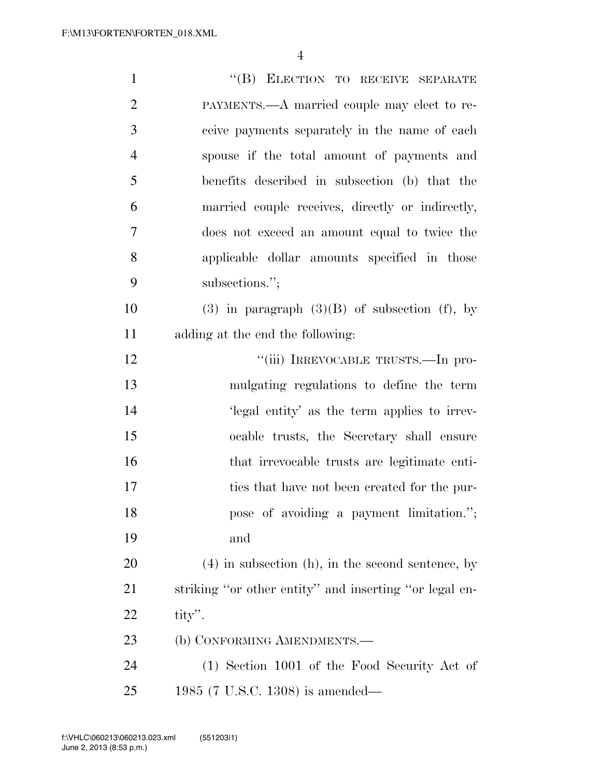| $\mathbf{1}$   | "(B) ELECTION TO RECEIVE SEPARATE                      |
|----------------|--------------------------------------------------------|
| $\overline{2}$ | PAYMENTS.—A married couple may elect to re-            |
| 3              | ceive payments separately in the name of each          |
| $\overline{4}$ | spouse if the total amount of payments and             |
| 5              | benefits described in subsection (b) that the          |
| 6              | married couple receives, directly or indirectly,       |
| 7              | does not exceed an amount equal to twice the           |
| 8              | applicable dollar amounts specified in those           |
| 9              | subsections.";                                         |
| 10             | $(3)$ in paragraph $(3)(B)$ of subsection (f), by      |
| 11             | adding at the end the following:                       |
| 12             | "(iii) IRREVOCABLE TRUSTS.—In pro-                     |
| 13             | mulgating regulations to define the term               |
| 14             | 'legal entity' as the term applies to irrev-           |
| 15             | ocable trusts, the Secretary shall ensure              |
| 16             | that irrevocable trusts are legitimate enti-           |
| 17             | ties that have not been created for the pur-           |
| 18             | pose of avoiding a payment limitation.";               |
| 19             | and                                                    |
| 20             | $(4)$ in subsection (h), in the second sentence, by    |
| 21             | striking "or other entity" and inserting "or legal en- |
| 22             | $\text{tity}$ .                                        |
| 23             | (b) CONFORMING AMENDMENTS.—                            |
| 24             | (1) Section 1001 of the Food Security Act of           |
| 25             | 1985 (7 U.S.C. 1308) is amended—                       |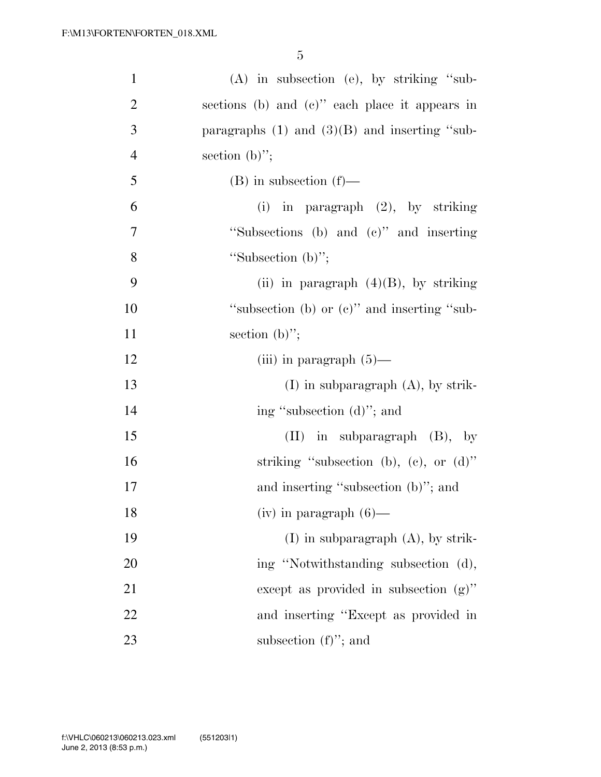| $\mathbf{1}$   | $(A)$ in subsection (e), by striking "sub-        |
|----------------|---------------------------------------------------|
| $\mathbf{2}$   | sections (b) and (c)" each place it appears in    |
| 3              | paragraphs $(1)$ and $(3)(B)$ and inserting "sub- |
| $\overline{4}$ | section $(b)$ ";                                  |
| 5              | $(B)$ in subsection $(f)$ —                       |
| 6              | (i) in paragraph $(2)$ , by striking              |
| $\tau$         | "Subsections (b) and $(c)$ " and inserting        |
| 8              | "Subsection $(b)$ ";                              |
| 9              | (ii) in paragraph $(4)(B)$ , by striking          |
| 10             | "subsection (b) or (c)" and inserting "sub-       |
| 11             | section $(b)$ ";                                  |
| 12             | (iii) in paragraph $(5)$ —                        |
| 13             | $(I)$ in subparagraph $(A)$ , by strik-           |
| 14             | ing "subsection (d)"; and                         |
| 15             | $(II)$ in subparagraph $(B)$ , by                 |
| 16             | striking "subsection (b), (c), or $(d)$ "         |
| 17             | and inserting "subsection (b)"; and               |
| 18             | $(iv)$ in paragraph $(6)$ —                       |
| 19             | $(I)$ in subparagraph $(A)$ , by strik-           |
| 20             | ing "Notwithstanding subsection (d),              |
| 21             | except as provided in subsection $(g)$ "          |
| 22             | and inserting "Except as provided in              |
| 23             | subsection $(f)$ "; and                           |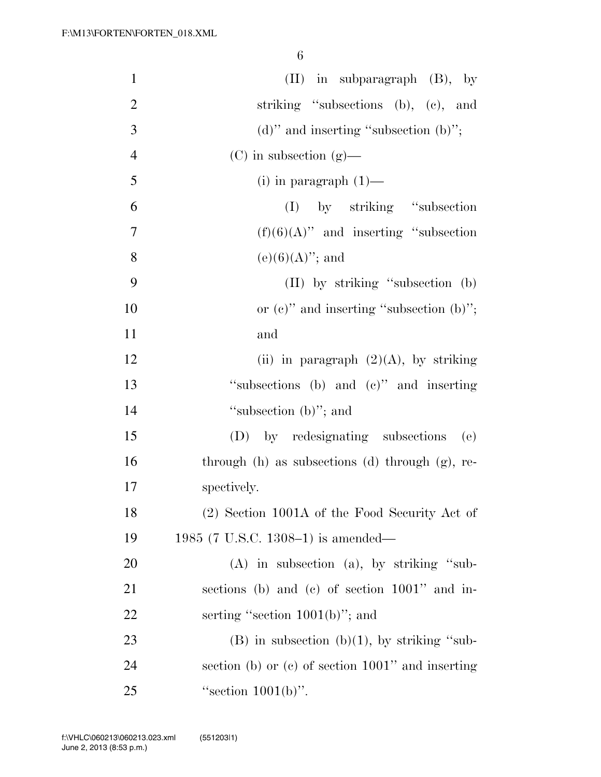| $\mathbf{1}$   | $(II)$ in subparagraph $(B)$ , by                      |
|----------------|--------------------------------------------------------|
| $\overline{2}$ | striking "subsections (b), (c), and                    |
| 3              | (d)" and inserting "subsection $(b)$ ";                |
| $\overline{4}$ | $(C)$ in subsection $(g)$ —                            |
| 5              | $(i)$ in paragraph $(1)$ —                             |
| 6              | (I) by striking "subsection"                           |
| $\tau$         | $(f)(6)(A)$ " and inserting "subsection"               |
| 8              | $(e)(6)(A)$ "; and                                     |
| 9              | (II) by striking "subsection (b)                       |
| 10             | or $(e)$ " and inserting "subsection $(b)$ ";          |
| 11             | and                                                    |
| 12             | (ii) in paragraph $(2)(A)$ , by striking               |
| 13             | "subsections (b) and (c)" and inserting                |
| 14             | "subsection $(b)$ "; and                               |
| 15             | (D) by redesignating subsections (e)                   |
| 16             | through $(h)$ as subsections $(d)$ through $(g)$ , re- |
| 17             | spectively.                                            |
| 18             | (2) Section 1001A of the Food Security Act of          |
| 19             | 1985 (7 U.S.C. 1308–1) is amended—                     |
| 20             | $(A)$ in subsection $(a)$ , by striking "sub-          |
| 21             | sections (b) and (c) of section 1001" and in-          |
| 22             | serting "section $1001(b)$ "; and                      |
| 23             | $(B)$ in subsection $(b)(1)$ , by striking "sub-       |
| 24             | section (b) or (c) of section $1001$ " and inserting   |
| 25             | "section $1001(b)$ ".                                  |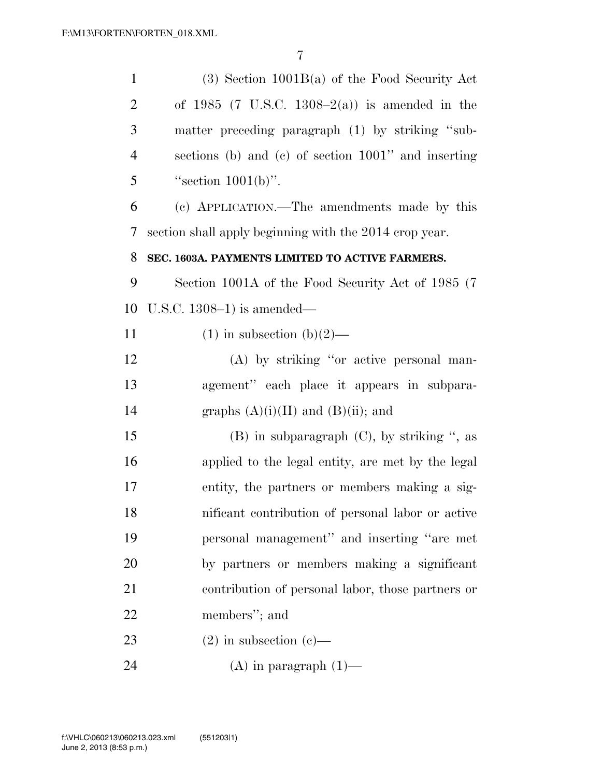| $\mathbf{1}$   | $(3)$ Section 1001B(a) of the Food Security Act        |
|----------------|--------------------------------------------------------|
| $\overline{2}$ | of 1985 (7 U.S.C. 1308–2(a)) is amended in the         |
| 3              | matter preceding paragraph (1) by striking "sub-       |
| $\overline{4}$ | sections (b) and (c) of section 1001" and inserting    |
| 5              | "section $1001(b)$ ".                                  |
| 6              | (c) APPLICATION.—The amendments made by this           |
| 7              | section shall apply beginning with the 2014 crop year. |
| 8              | SEC. 1603A. PAYMENTS LIMITED TO ACTIVE FARMERS.        |
| 9              | Section 1001A of the Food Security Act of 1985 (7)     |
| 10             | U.S.C. $1308-1$ ) is amended—                          |
| 11             | $(1)$ in subsection $(b)(2)$ —                         |
| 12             | (A) by striking "or active personal man-               |
| 13             | agement" each place it appears in subpara-             |
| 14             | graphs $(A)(i)(II)$ and $(B)(ii)$ ; and                |
| 15             | $(B)$ in subparagraph $(C)$ , by striking ", as        |
| 16             | applied to the legal entity, are met by the legal      |
| 17             | entity, the partners or members making a sig-          |
| 18             | nificant contribution of personal labor or active      |
| 19             | personal management" and inserting "are met            |
| 20             | by partners or members making a significant            |
| 21             | contribution of personal labor, those partners or      |
| 22             | members"; and                                          |
| 23             | $(2)$ in subsection $(e)$ —                            |
| 24             | $(A)$ in paragraph $(1)$ —                             |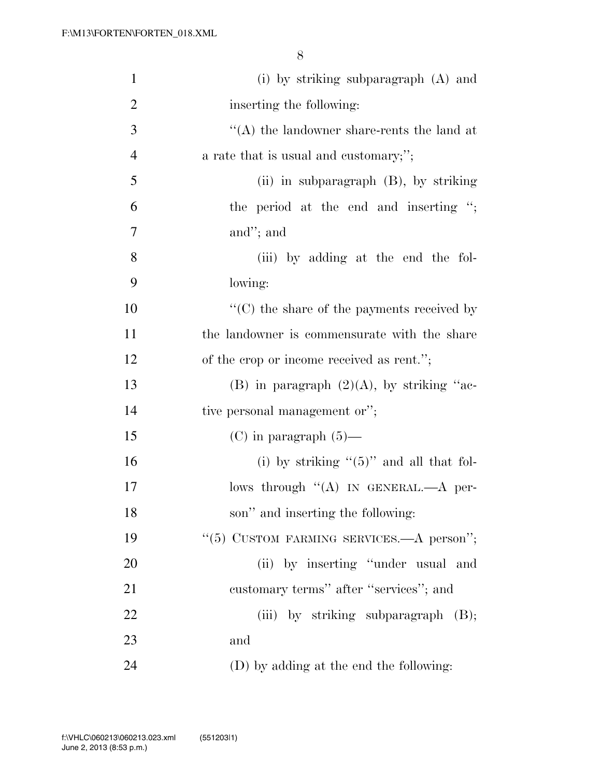| $\mathbf{1}$   | (i) by striking subparagraph (A) and               |
|----------------|----------------------------------------------------|
| $\overline{2}$ | inserting the following:                           |
| 3              | $\lq\lq (A)$ the landowner share-rents the land at |
| $\overline{4}$ | a rate that is usual and customary;";              |
| 5              | (ii) in subparagraph $(B)$ , by striking           |
| 6              | the period at the end and inserting ";             |
| 7              | and"; and                                          |
| 8              | (iii) by adding at the end the fol-                |
| 9              | lowing:                                            |
| 10             | $\lq\lq$ (C) the share of the payments received by |
| 11             | the landowner is commensurate with the share       |
| 12             | of the crop or income received as rent.";          |
| 13             | (B) in paragraph $(2)(A)$ , by striking "ac-       |
| 14             | tive personal management or";                      |
| 15             | $(C)$ in paragraph $(5)$ —                         |
| 16             | (i) by striking " $(5)$ " and all that fol-        |
| 17             | lows through $((A)$ IN GENERAL.—A per-             |
| 18             | son" and inserting the following:                  |
| 19             | " $(5)$ CUSTOM FARMING SERVICES.—A person";        |
| 20             | (ii) by inserting "under usual and                 |
| 21             | customary terms" after "services"; and             |
| 22             | (iii) by striking subparagraph $(B)$ ;             |
| 23             | and                                                |
| 24             | (D) by adding at the end the following:            |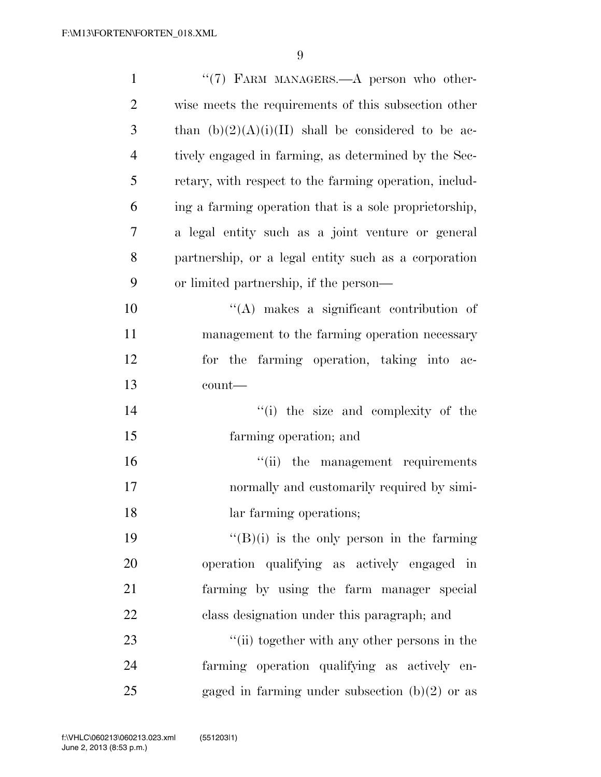| $\mathbf{1}$   | "(7) FARM MANAGERS. A person who other-                |
|----------------|--------------------------------------------------------|
| $\overline{2}$ | wise meets the requirements of this subsection other   |
| 3              | than $(b)(2)(A)(i)(II)$ shall be considered to be ac-  |
| $\overline{4}$ | tively engaged in farming, as determined by the Sec-   |
| 5              | retary, with respect to the farming operation, includ- |
| 6              | ing a farming operation that is a sole proprietorship, |
| 7              | a legal entity such as a joint venture or general      |
| 8              | partnership, or a legal entity such as a corporation   |
| 9              | or limited partnership, if the person—                 |
| 10             | $\lq\lq$ makes a significant contribution of           |
| 11             | management to the farming operation necessary          |
| 12             | for the farming operation, taking into ac-             |
| 13             | count-                                                 |
| 14             | "(i) the size and complexity of the                    |
| 15             | farming operation; and                                 |
| 16             | "(ii) the management requirements                      |
| 17             | normally and customarily required by simi-             |
| 18             | lar farming operations;                                |
| 19             | $\lq\lq(B)(i)$ is the only person in the farming       |
| 20             | operation qualifying as actively engaged in            |
| 21             | farming by using the farm manager special              |
| 22             | class designation under this paragraph; and            |
| 23             | "(ii) together with any other persons in the           |
| 24             | farming operation qualifying as actively en-           |
| 25             | gaged in farming under subsection $(b)(2)$ or as       |